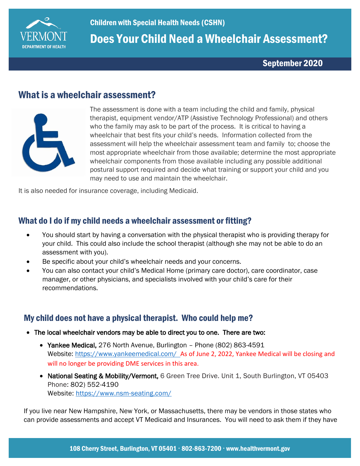

Does Your Child Need a Wheelchair Assessment?

September 2020

# What is a wheelchair assessment?



The assessment is done with a team including the child and family, physical therapist, equipment vendor/ATP (Assistive Technology Professional) and others who the family may ask to be part of the process. It is critical to having a wheelchair that best fits your child's needs. Information collected from the assessment will help the wheelchair assessment team and family to; choose the most appropriate wheelchair from those available; determine the most appropriate wheelchair components from those available including any possible additional postural support required and decide what training or support your child and you may need to use and maintain the wheelchair.

It is also needed for insurance coverage, including Medicaid.

#### What do I do if my child needs a wheelchair assessment or fitting?

- You should start by having a conversation with the physical therapist who is providing therapy for your child. This could also include the school therapist (although she may not be able to do an assessment with you).
- Be specific about your child's wheelchair needs and your concerns.
- You can also contact your child's Medical Home (primary care doctor), care coordinator, case manager, or other physicians, and specialists involved with your child's care for their recommendations.

#### My child does not have a physical therapist. Who could help me?

- The local wheelchair vendors may be able to direct you to one. There are two:
	- Yankee Medical, 276 North Avenue, Burlington Phone (802) 863-4591 Website:<https://www.yankeemedical.com/>As of June 2, 2022, Yankee Medical will be closing and will no longer be providing DME services in this area.
	- National Seating & Mobility/Vermont, 6 Green Tree Drive. Unit 1, South Burlington, VT 05403 Phone: 802) 552-4190 Website:<https://www.nsm-seating.com/>

If you live near New Hampshire, New York, or Massachusetts, there may be vendors in those states who can provide assessments and accept VT Medicaid and Insurances. You will need to ask them if they have